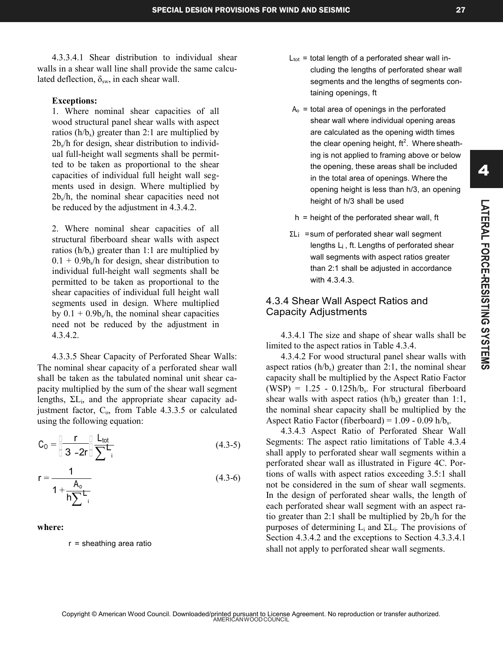4

4.3.3.4.1 Shear distribution to individual shear walls in a shear wall line shall provide the same calculated deflection,  $\delta_{sw}$ , in each shear wall.

#### **Exceptions:**

1. Where nominal shear capacities of all wood structural panel shear walls with aspect ratios  $(h/b_s)$  greater than 2:1 are multiplied by 2b<sup>s</sup> /h for design, shear distribution to individual full-height wall segments shall be permitted to be taken as proportional to the shear capacities of individual full height wall segments used in design. Where multiplied by 2b<sup>s</sup> /h, the nominal shear capacities need not be reduced by the adjustment in 4.3.4.2.

2. Where nominal shear capacities of all structural fiberboard shear walls with aspect ratios ( $h/b_s$ ) greater than 1:1 are multiplied by  $0.1 + 0.9b<sub>s</sub>/h$  for design, shear distribution to individual full-height wall segments shall be permitted to be taken as proportional to the shear capacities of individual full height wall segments used in design. Where multiplied by  $0.1 + 0.9b<sub>s</sub>/h$ , the nominal shear capacities need not be reduced by the adjustment in 4.3.4.2.

4.3.3.5 Shear Capacity of Perforated Shear Walls: The nominal shear capacity of a perforated shear wall shall be taken as the tabulated nominal unit shear capacity multiplied by the sum of the shear wall segment lengths, ΣL<sub>i</sub>, and the appropriate shear capacity adjustment factor,  $C_0$ , from Table 4.3.3.5 or calculated using the following equation:

$$
C_0 = \frac{\Gamma}{3 - 2r} \frac{L_{\text{tot}}}{\sum_{i}^{L}} \tag{4.3-5}
$$

$$
r = \frac{1}{1 + \frac{A_0}{h \sum_{i=1}^{L} (4.3-6)}}\tag{4.3-6}
$$

#### **where:**

r = sheathing area ratio

- $L_{\text{tot}}$  = total length of a perforated shear wall including the lengths of perforated shear wall segments and the lengths of segments containing openings, ft
- $A<sub>o</sub>$  = total area of openings in the perforated shear wall where individual opening areas are calculated as the opening width times the clear opening height, ft<sup>2</sup>. Where sheathing is not applied to framing above or below the opening, these areas shall be included in the total area of openings. Where the opening height is less than h/3, an opening height of h/3 shall be used
- $h =$  height of the perforated shear wall, ft
- ΣL<sub>i</sub> =sum of perforated shear wall segment lengths L<sub>i</sub>, ft. Lengths of perforated shear wall segments with aspect ratios greater than 2:1 shall be adjusted in accordance with 4.3.4.3.

# 4.3.4 Shear Wall Aspect Ratios and Capacity Adjustments

4.3.4.1 The size and shape of shear walls shall be limited to the aspect ratios in Table 4.3.4.

4.3.4.2 For wood structural panel shear walls with aspect ratios  $(h/b_s)$  greater than 2:1, the nominal shear capacity shall be multiplied by the Aspect Ratio Factor  $(WSP) = 1.25 - 0.125h/b_s$ . For structural fiberboard shear walls with aspect ratios  $(h/b<sub>s</sub>)$  greater than 1:1, the nominal shear capacity shall be multiplied by the Aspect Ratio Factor (fiberboard) =  $1.09 - 0.09$  h/b<sub>s</sub>.

4.3.4.3 Aspect Ratio of Perforated Shear Wall Segments: The aspect ratio limitations of Table 4.3.4 shall apply to perforated shear wall segments within a perforated shear wall as illustrated in Figure 4C. Portions of walls with aspect ratios exceeding 3.5:1 shall not be considered in the sum of shear wall segments. In the design of perforated shear walls, the length of each perforated shear wall segment with an aspect ratio greater than 2:1 shall be multiplied by  $2b_s/h$  for the purposes of determining  $L_i$  and  $\Sigma L_i$ . The provisions of Section 4.3.4.2 and the exceptions to Section 4.3.3.4.1 shall not apply to perforated shear wall segments.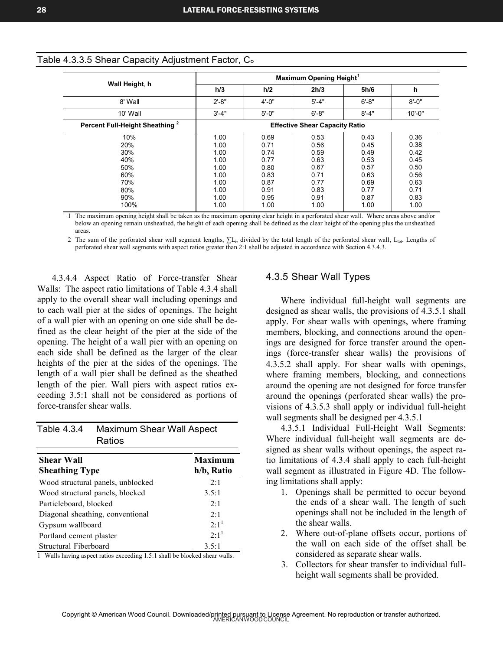|                                            | Maximum Opening Height <sup>1</sup>   |            |           |           |            |
|--------------------------------------------|---------------------------------------|------------|-----------|-----------|------------|
| Wall Height, h                             | h/3                                   | h/2        | 2h/3      | 5h/6      | h          |
| 8' Wall                                    | $2' - 8"$                             | $4' - 0''$ | $5' - 4"$ | $6' - 8"$ | $8' - 0''$ |
| 10' Wall                                   | $3' - 4"$                             | $5 - 0"$   | $6' - 8"$ | $8' - 4"$ | $10' - 0"$ |
| Percent Full-Height Sheathing <sup>2</sup> | <b>Effective Shear Capacity Ratio</b> |            |           |           |            |
| 10%                                        | 1.00                                  | 0.69       | 0.53      | 0.43      | 0.36       |
| 20%                                        | 1.00                                  | 0.71       | 0.56      | 0.45      | 0.38       |
| 30%                                        | 1.00                                  | 0.74       | 0.59      | 0.49      | 0.42       |
| 40%                                        | 1.00                                  | 0.77       | 0.63      | 0.53      | 0.45       |
| 50%                                        | 1.00                                  | 0.80       | 0.67      | 0.57      | 0.50       |
| 60%                                        | 1.00                                  | 0.83       | 0.71      | 0.63      | 0.56       |
| 70%                                        | 1.00                                  | 0.87       | 0.77      | 0.69      | 0.63       |
| 80%                                        | 1.00                                  | 0.91       | 0.83      | 0.77      | 0.71       |
| 90%                                        | 1.00                                  | 0.95       | 0.91      | 0.87      | 0.83       |
| 100%                                       | 1.00                                  | 1.00       | 1.00      | 1.00      | 1.00       |

#### Table 4.3.3.5 Shear Capacity Adjustment Factor,  $\textsf{C}_\textup{o}$

1 The maximum opening height shall be taken as the maximum opening clear height in a perforated shear wall. Where areas above and/or below an opening remain unsheathed, the height of each opening shall be defined as the clear height of the opening plus the unsheathed areas.

2 The sum of the perforated shear wall segment lengths,  $\sum L_i$ , divided by the total length of the perforated shear wall,  $L_{tot}$ . Lengths of perforated shear wall segments with aspect ratios greater than 2:1 shall be adjusted in accordance with Section 4.3.4.3.

4.3.4.4 Aspect Ratio of Force-transfer Shear Walls: The aspect ratio limitations of Table 4.3.4 shall apply to the overall shear wall including openings and to each wall pier at the sides of openings. The height of a wall pier with an opening on one side shall be defined as the clear height of the pier at the side of the opening. The height of a wall pier with an opening on each side shall be defined as the larger of the clear heights of the pier at the sides of the openings. The length of a wall pier shall be defined as the sheathed length of the pier. Wall piers with aspect ratios exceeding 3.5:1 shall not be considered as portions of force-transfer shear walls.

| Table 4.3.4 | <b>Maximum Shear Wall Aspect</b> |
|-------------|----------------------------------|
|             | Ratios                           |

| <b>Shear Wall</b>                 | <b>Maximum</b> |  |
|-----------------------------------|----------------|--|
| <b>Sheathing Type</b>             | $h/b_s$ Ratio  |  |
| Wood structural panels, unblocked | 2:1            |  |
| Wood structural panels, blocked   | 3.5:1          |  |
| Particleboard, blocked            | 2:1            |  |
| Diagonal sheathing, conventional  | 2:1            |  |
| Gypsum wallboard                  | $2.1^1$        |  |
| Portland cement plaster           | $2.1^1$        |  |
| Structural Fiberboard             | 3.5:1          |  |

1 Walls having aspect ratios exceeding 1.5:1 shall be blocked shear walls.

## 4.3.5 Shear Wall Types

Where individual full-height wall segments are designed as shear walls, the provisions of 4.3.5.1 shall apply. For shear walls with openings, where framing members, blocking, and connections around the openings are designed for force transfer around the openings (force-transfer shear walls) the provisions of 4.3.5.2 shall apply. For shear walls with openings, where framing members, blocking, and connections around the opening are not designed for force transfer around the openings (perforated shear walls) the provisions of 4.3.5.3 shall apply or individual full-height wall segments shall be designed per 4.3.5.1

4.3.5.1 Individual Full-Height Wall Segments: Where individual full-height wall segments are designed as shear walls without openings, the aspect ratio limitations of 4.3.4 shall apply to each full-height wall segment as illustrated in Figure 4D. The following limitations shall apply:

- 1. Openings shall be permitted to occur beyond the ends of a shear wall. The length of such openings shall not be included in the length of the shear walls.
- 2. Where out-of-plane offsets occur, portions of the wall on each side of the offset shall be considered as separate shear walls.
- Collectors for shear transfer to individual full-3. height wall segments shall be provided.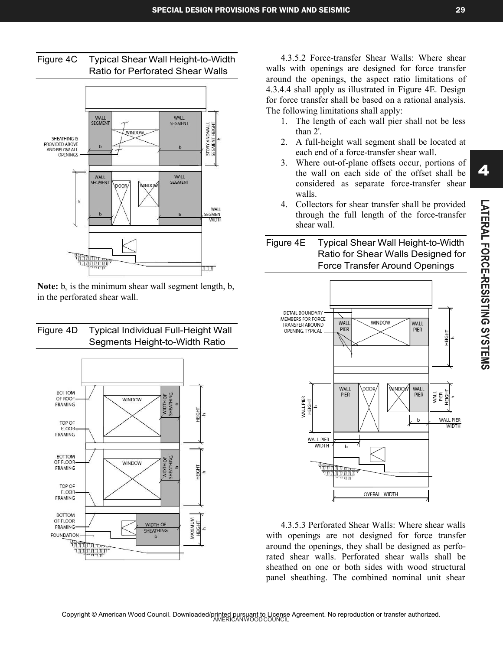



Note:  $b_s$  is the minimum shear wall segment length, b, in the perforated shear wall.

# Figure 4D Typical Individual Full-Height Wall Segments Height-to-Width Ratio



4.3.5.2 Force-transfer Shear Walls: Where shear walls with openings are designed for force transfer around the openings, the aspect ratio limitations of 4.3.4.4 shall apply as illustrated in Figure 4E. Design for force transfer shall be based on a rational analysis. The following limitations shall apply:

- 1. The length of each wall pier shall not be less than 2'.
- 2. A full-height wall segment shall be located at each end of a force-transfer shear wall.
- 3. Where out-of-plane offsets occur, portions of the wall on each side of the offset shall be considered as separate force-transfer shear walls.
- 4. Collectors for shear transfer shall be provided through the full length of the force-transfer shear wall.

# Figure 4E Typical Shear Wall Height-to-Width Ratio for Shear Walls Designed for Force Transfer Around Openings



4.3.5.3 Perforated Shear Walls: Where shear walls with openings are not designed for force transfer around the openings, they shall be designed as perforated shear walls. Perforated shear walls shall be sheathed on one or both sides with wood structural panel sheathing. The combined nominal unit shear

4